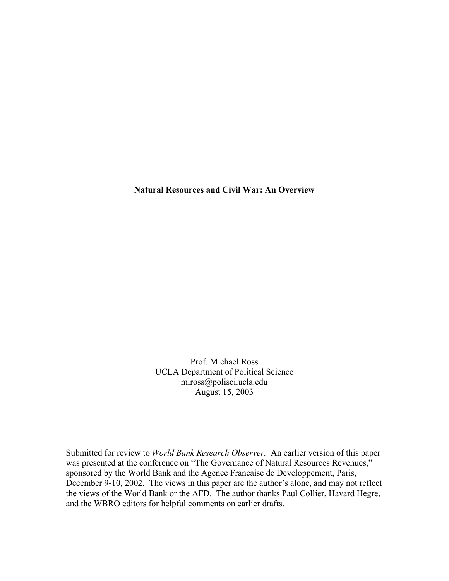**Natural Resources and Civil War: An Overview** 

Prof. Michael Ross UCLA Department of Political Science mlross@polisci.ucla.edu August 15, 2003

Submitted for review to *World Bank Research Observer.* An earlier version of this paper was presented at the conference on "The Governance of Natural Resources Revenues," sponsored by the World Bank and the Agence Francaise de Developpement, Paris, December 9-10, 2002. The views in this paper are the author's alone, and may not reflect the views of the World Bank or the AFD. The author thanks Paul Collier, Havard Hegre, and the WBRO editors for helpful comments on earlier drafts.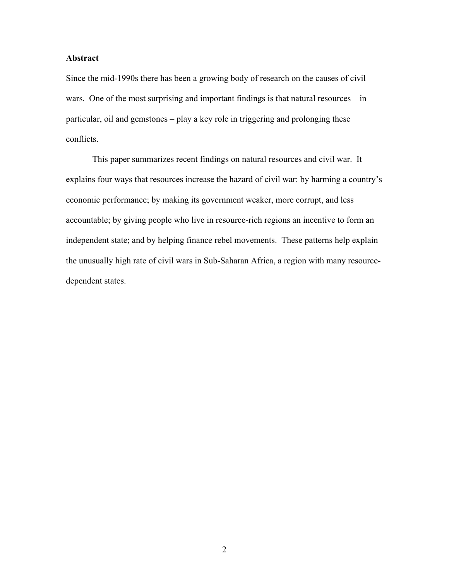# **Abstract**

Since the mid-1990s there has been a growing body of research on the causes of civil wars. One of the most surprising and important findings is that natural resources – in particular, oil and gemstones – play a key role in triggering and prolonging these conflicts.

This paper summarizes recent findings on natural resources and civil war. It explains four ways that resources increase the hazard of civil war: by harming a country's economic performance; by making its government weaker, more corrupt, and less accountable; by giving people who live in resource-rich regions an incentive to form an independent state; and by helping finance rebel movements. These patterns help explain the unusually high rate of civil wars in Sub-Saharan Africa, a region with many resourcedependent states.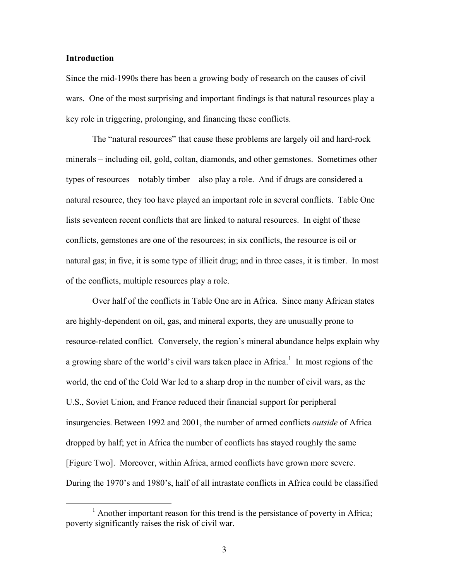# **Introduction**

Since the mid-1990s there has been a growing body of research on the causes of civil wars. One of the most surprising and important findings is that natural resources play a key role in triggering, prolonging, and financing these conflicts.

The "natural resources" that cause these problems are largely oil and hard-rock minerals – including oil, gold, coltan, diamonds, and other gemstones. Sometimes other types of resources – notably timber – also play a role. And if drugs are considered a natural resource, they too have played an important role in several conflicts. Table One lists seventeen recent conflicts that are linked to natural resources. In eight of these conflicts, gemstones are one of the resources; in six conflicts, the resource is oil or natural gas; in five, it is some type of illicit drug; and in three cases, it is timber. In most of the conflicts, multiple resources play a role.

Over half of the conflicts in Table One are in Africa. Since many African states are highly-dependent on oil, gas, and mineral exports, they are unusually prone to resource-related conflict. Conversely, the region's mineral abundance helps explain why a growing share of the world's civil wars taken place in Africa.<sup>[1](#page-2-0)</sup> In most regions of the world, the end of the Cold War led to a sharp drop in the number of civil wars, as the U.S., Soviet Union, and France reduced their financial support for peripheral insurgencies. Between 1992 and 2001, the number of armed conflicts *outside* of Africa dropped by half; yet in Africa the number of conflicts has stayed roughly the same [Figure Two]. Moreover, within Africa, armed conflicts have grown more severe. During the 1970's and 1980's, half of all intrastate conflicts in Africa could be classified

<span id="page-2-0"></span><sup>&</sup>lt;u>1</u>  $<sup>1</sup>$  Another important reason for this trend is the persistance of poverty in Africa;</sup> poverty significantly raises the risk of civil war.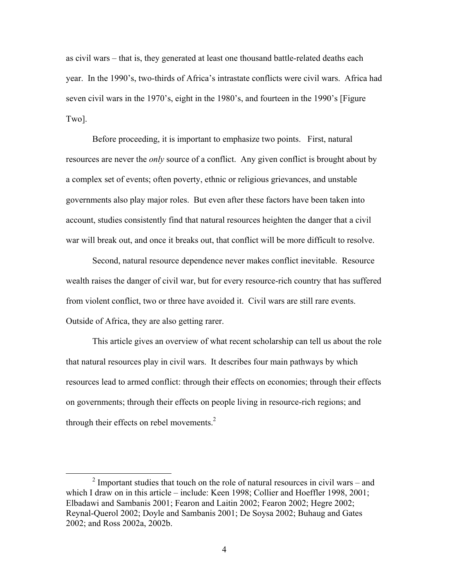as civil wars – that is, they generated at least one thousand battle-related deaths each year. In the 1990's, two-thirds of Africa's intrastate conflicts were civil wars. Africa had seven civil wars in the 1970's, eight in the 1980's, and fourteen in the 1990's [Figure Two].

Before proceeding, it is important to emphasize two points. First, natural resources are never the *only* source of a conflict. Any given conflict is brought about by a complex set of events; often poverty, ethnic or religious grievances, and unstable governments also play major roles. But even after these factors have been taken into account, studies consistently find that natural resources heighten the danger that a civil war will break out, and once it breaks out, that conflict will be more difficult to resolve.

Second, natural resource dependence never makes conflict inevitable. Resource wealth raises the danger of civil war, but for every resource-rich country that has suffered from violent conflict, two or three have avoided it. Civil wars are still rare events. Outside of Africa, they are also getting rarer.

This article gives an overview of what recent scholarship can tell us about the role that natural resources play in civil wars. It describes four main pathways by which resources lead to armed conflict: through their effects on economies; through their effects on governments; through their effects on people living in resource-rich regions; and through their effects on rebel movements. $2$ 

<span id="page-3-0"></span> <sup>2</sup>  $2$  Important studies that touch on the role of natural resources in civil wars – and which I draw on in this article – include: Keen 1998; Collier and Hoeffler 1998, 2001; Elbadawi and Sambanis 2001; Fearon and Laitin 2002; Fearon 2002; Hegre 2002; Reynal-Querol 2002; Doyle and Sambanis 2001; De Soysa 2002; Buhaug and Gates 2002; and Ross 2002a, 2002b.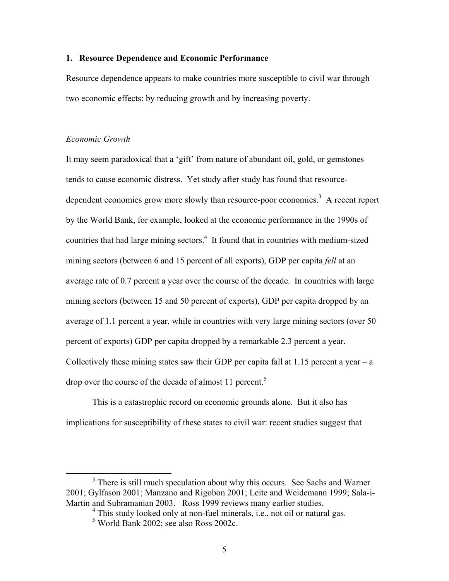# **1. Resource Dependence and Economic Performance**

Resource dependence appears to make countries more susceptible to civil war through two economic effects: by reducing growth and by increasing poverty.

#### *Economic Growth*

It may seem paradoxical that a 'gift' from nature of abundant oil, gold, or gemstones tends to cause economic distress. Yet study after study has found that resource-dependent economies grow more slowly than resource-poor economies.<sup>[3](#page-4-0)</sup> A recent report by the World Bank, for example, looked at the economic performance in the 1990s of countries that had large mining sectors. $4$  It found that in countries with medium-sized mining sectors (between 6 and 15 percent of all exports), GDP per capita *fell* at an average rate of 0.7 percent a year over the course of the decade. In countries with large mining sectors (between 15 and 50 percent of exports), GDP per capita dropped by an average of 1.1 percent a year, while in countries with very large mining sectors (over 50 percent of exports) GDP per capita dropped by a remarkable 2.3 percent a year. Collectively these mining states saw their GDP per capita fall at  $1.15$  percent a year – a drop over the course of the decade of almost 11 percent.<sup>[5](#page-4-2)</sup>

This is a catastrophic record on economic grounds alone. But it also has implications for susceptibility of these states to civil war: recent studies suggest that

 $\frac{1}{3}$ <sup>3</sup> There is still much speculation about why this occurs. See Sachs and Warner 2001; Gylfason 2001; Manzano and Rigobon 2001; Leite and Weidemann 1999; Sala-i-Martin and Subramanian 2003. Ross 1999 reviews many earlier studies.

<span id="page-4-1"></span><span id="page-4-0"></span><sup>&</sup>lt;sup>4</sup> This study looked only at non-fuel minerals, i.e., not oil or natural gas.

<span id="page-4-2"></span><sup>5</sup> World Bank 2002; see also Ross 2002c.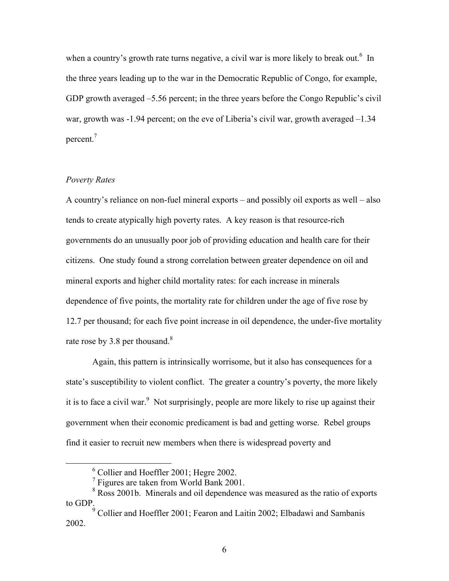when a country's growth rate turns negative, a civil war is more likely to break out.<sup>6</sup> In the three years leading up to the war in the Democratic Republic of Congo, for example, GDP growth averaged –5.56 percent; in the three years before the Congo Republic's civil war, growth was -1.94 percent; on the eve of Liberia's civil war, growth averaged  $-1.34$ percent.<sup>7</sup>

# *Poverty Rates*

A country's reliance on non-fuel mineral exports – and possibly oil exports as well – also tends to create atypically high poverty rates. A key reason is that resource-rich governments do an unusually poor job of providing education and health care for their citizens. One study found a strong correlation between greater dependence on oil and mineral exports and higher child mortality rates: for each increase in minerals dependence of five points, the mortality rate for children under the age of five rose by 12.7 per thousand; for each five point increase in oil dependence, the under-five mortality rate rose by 3.[8](#page-5-2) per thousand.<sup>8</sup>

Again, this pattern is intrinsically worrisome, but it also has consequences for a state's susceptibility to violent conflict. The greater a country's poverty, the more likely it is to face a civil war.<sup>[9](#page-5-3)</sup> Not surprisingly, people are more likely to rise up against their government when their economic predicament is bad and getting worse. Rebel groups find it easier to recruit new members when there is widespread poverty and

 <sup>6</sup> Collier and Hoeffler 2001; Hegre 2002.

<span id="page-5-3"></span><span id="page-5-2"></span><span id="page-5-1"></span><span id="page-5-0"></span><sup>&</sup>lt;sup>7</sup> Figures are taken from World Bank 2001.

<sup>&</sup>lt;sup>8</sup> Ross 2001b. Minerals and oil dependence was measured as the ratio of exports to GDP.

<sup>&</sup>lt;sup>9</sup> Collier and Hoeffler 2001; Fearon and Laitin 2002; Elbadawi and Sambanis 2002.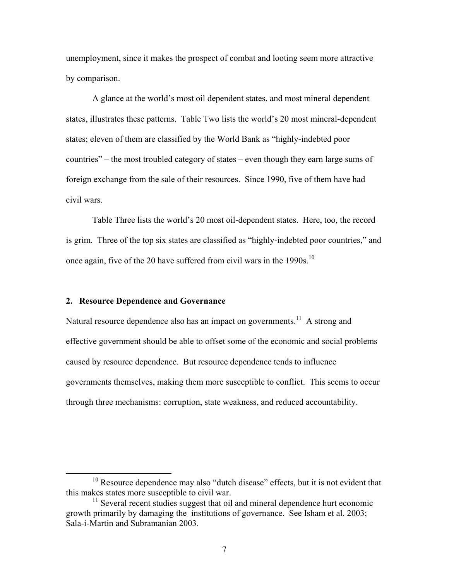unemployment, since it makes the prospect of combat and looting seem more attractive by comparison.

A glance at the world's most oil dependent states, and most mineral dependent states, illustrates these patterns. Table Two lists the world's 20 most mineral-dependent states; eleven of them are classified by the World Bank as "highly-indebted poor countries" – the most troubled category of states – even though they earn large sums of foreign exchange from the sale of their resources. Since 1990, five of them have had civil wars.

Table Three lists the world's 20 most oil-dependent states. Here, too, the record is grim. Three of the top six states are classified as "highly-indebted poor countries," and once again, five of the 20 have suffered from civil wars in the 1990s.<sup>[10](#page-6-0)</sup>

# **2. Resource Dependence and Governance**

Natural resource dependence also has an impact on governments.<sup>11</sup> A strong and effective government should be able to offset some of the economic and social problems caused by resource dependence. But resource dependence tends to influence governments themselves, making them more susceptible to conflict. This seems to occur through three mechanisms: corruption, state weakness, and reduced accountability.

<span id="page-6-0"></span><sup>&</sup>lt;sup>10</sup> Resource dependence may also "dutch disease" effects, but it is not evident that this makes states more susceptible to civil war.

<span id="page-6-1"></span> $11$  Several recent studies suggest that oil and mineral dependence hurt economic growth primarily by damaging the institutions of governance. See Isham et al. 2003; Sala-i-Martin and Subramanian 2003.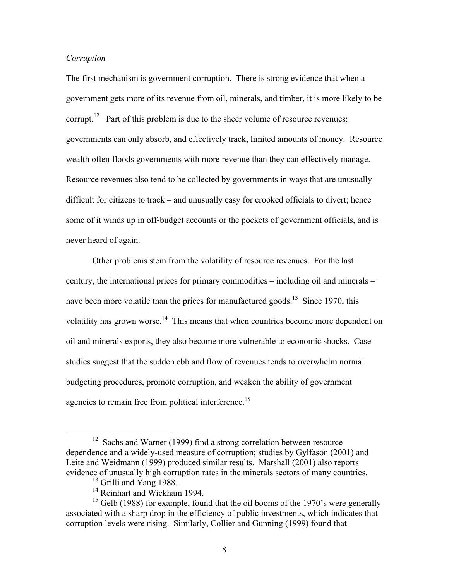# <span id="page-7-3"></span>*Corruption*

The first mechanism is government corruption. There is strong evidence that when a government gets more of its revenue from oil, minerals, and timber, it is more likely to be corrupt.<sup>12</sup> Part of this problem is due to the sheer volume of resource revenues: governments can only absorb, and effectively track, limited amounts of money. Resource wealth often floods governments with more revenue than they can effectively manage. Resource revenues also tend to be collected by governments in ways that are unusually difficult for citizens to track – and unusually easy for crooked officials to divert; hence some of it winds up in off-budget accounts or the pockets of government officials, and is never heard of again.

Other problems stem from the volatility of resource revenues. For the last century, the international prices for primary commodities – including oil and minerals – have been more volatile than the prices for manufactured goods.<sup>13</sup> Since 1970, this volatility has grown worse.<sup>14</sup> This means that when countries become more dependent on oil and minerals exports, they also become more vulnerable to economic shocks. Case studies suggest that the sudden ebb and flow of revenues tends to overwhelm normal budgeting procedures, promote corruption, and weaken the ability of government agencies to remain free from political interference.<sup>[15](#page-7-3)</sup>

<span id="page-7-0"></span><sup>&</sup>lt;sup>12</sup> Sachs and Warner (1999) find a strong correlation between resource dependence and a widely-used measure of corruption; studies by Gylfason (2001) and Leite and Weidmann (1999) produced similar results. Marshall (2001) also reports evidence of unusually high corruption rates in the minerals sectors of many countries.

<span id="page-7-1"></span> $13$  Grilli and Yang 1988.

<span id="page-7-2"></span><sup>&</sup>lt;sup>14</sup> Reinhart and Wickham 1994.

 $15$  Gelb (1988) for example, found that the oil booms of the 1970's were generally associated with a sharp drop in the efficiency of public investments, which indicates that corruption levels were rising. Similarly, Collier and Gunning (1999) found that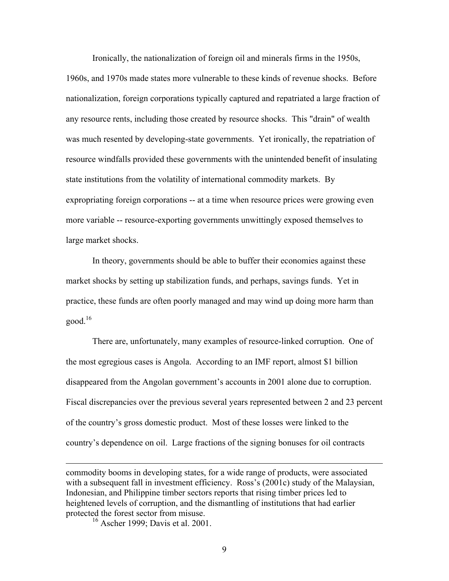Ironically, the nationalization of foreign oil and minerals firms in the 1950s, 1960s, and 1970s made states more vulnerable to these kinds of revenue shocks. Before nationalization, foreign corporations typically captured and repatriated a large fraction of any resource rents, including those created by resource shocks. This "drain" of wealth was much resented by developing-state governments. Yet ironically, the repatriation of resource windfalls provided these governments with the unintended benefit of insulating state institutions from the volatility of international commodity markets. By expropriating foreign corporations -- at a time when resource prices were growing even more variable -- resource-exporting governments unwittingly exposed themselves to large market shocks.

In theory, governments should be able to buffer their economies against these market shocks by setting up stabilization funds, and perhaps, savings funds. Yet in practice, these funds are often poorly managed and may wind up doing more harm than good. $16$ 

There are, unfortunately, many examples of resource-linked corruption. One of the most egregious cases is Angola. According to an IMF report, almost \$1 billion disappeared from the Angolan government's accounts in 2001 alone due to corruption. Fiscal discrepancies over the previous several years represented between 2 and 23 percent of the country's gross domestic product. Most of these losses were linked to the country's dependence on oil. Large fractions of the signing bonuses for oil contracts

<span id="page-8-0"></span> $16$  Ascher 1999; Davis et al. 2001.

 $\overline{a}$ 

9

commodity booms in developing states, for a wide range of products, were associated with a subsequent fall in investment efficiency. Ross's (2001c) study of the Malaysian, Indonesian, and Philippine timber sectors reports that rising timber prices led to heightened levels of corruption, and the dismantling of institutions that had earlier protected the forest sector from misuse.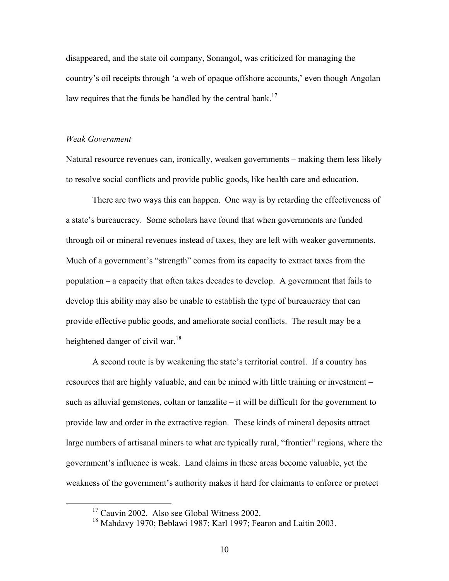disappeared, and the state oil company, Sonangol, was criticized for managing the country's oil receipts through 'a web of opaque offshore accounts,' even though Angolan law requires that the funds be handled by the central bank.<sup>17</sup>

#### *Weak Government*

Natural resource revenues can, ironically, weaken governments – making them less likely to resolve social conflicts and provide public goods, like health care and education.

There are two ways this can happen. One way is by retarding the effectiveness of a state's bureaucracy. Some scholars have found that when governments are funded through oil or mineral revenues instead of taxes, they are left with weaker governments. Much of a government's "strength" comes from its capacity to extract taxes from the population – a capacity that often takes decades to develop. A government that fails to develop this ability may also be unable to establish the type of bureaucracy that can provide effective public goods, and ameliorate social conflicts. The result may be a heightened danger of civil war.<sup>[18](#page-9-1)</sup>

A second route is by weakening the state's territorial control. If a country has resources that are highly valuable, and can be mined with little training or investment – such as alluvial gemstones, coltan or tanzalite – it will be difficult for the government to provide law and order in the extractive region. These kinds of mineral deposits attract large numbers of artisanal miners to what are typically rural, "frontier" regions, where the government's influence is weak. Land claims in these areas become valuable, yet the weakness of the government's authority makes it hard for claimants to enforce or protect

<span id="page-9-0"></span><sup>&</sup>lt;sup>17</sup> Cauvin 2002. Also see Global Witness 2002.

<span id="page-9-1"></span><sup>18</sup> Mahdavy 1970; Beblawi 1987; Karl 1997; Fearon and Laitin 2003.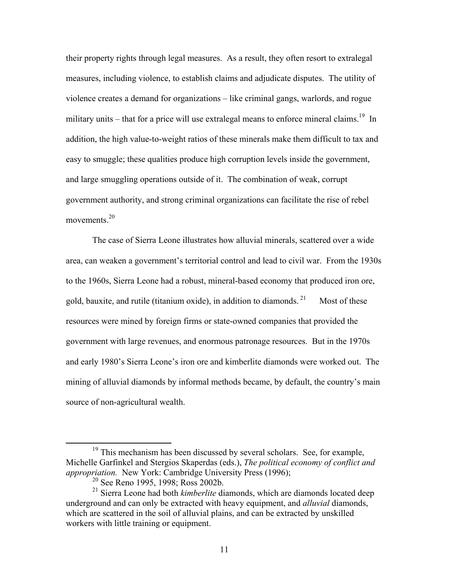their property rights through legal measures. As a result, they often resort to extralegal measures, including violence, to establish claims and adjudicate disputes. The utility of violence creates a demand for organizations – like criminal gangs, warlords, and rogue military units – that for a price will use extralegal means to enforce mineral claims.<sup>19</sup> In addition, the high value-to-weight ratios of these minerals make them difficult to tax and easy to smuggle; these qualities produce high corruption levels inside the government, and large smuggling operations outside of it. The combination of weak, corrupt government authority, and strong criminal organizations can facilitate the rise of rebel movements $20$ 

The case of Sierra Leone illustrates how alluvial minerals, scattered over a wide area, can weaken a government's territorial control and lead to civil war. From the 1930s to the 1960s, Sierra Leone had a robust, mineral-based economy that produced iron ore, gold, bauxite, and rutile (titanium oxide), in addition to diamonds.  $21$  Most of these resources were mined by foreign firms or state-owned companies that provided the government with large revenues, and enormous patronage resources. But in the 1970s and early 1980's Sierra Leone's iron ore and kimberlite diamonds were worked out. The mining of alluvial diamonds by informal methods became, by default, the country's main source of non-agricultural wealth.

 $19$  This mechanism has been discussed by several scholars. See, for example, Michelle Garfinkel and Stergios Skaperdas (eds.), *The political economy of conflict and appropriation.* New York: Cambridge University Press (1996);

<span id="page-10-2"></span><span id="page-10-1"></span><span id="page-10-0"></span><sup>20</sup> See Reno 1995, 1998; Ross 2002b.

<sup>21</sup> Sierra Leone had both *kimberlite* diamonds, which are diamonds located deep underground and can only be extracted with heavy equipment, and *alluvial* diamonds, which are scattered in the soil of alluvial plains, and can be extracted by unskilled workers with little training or equipment.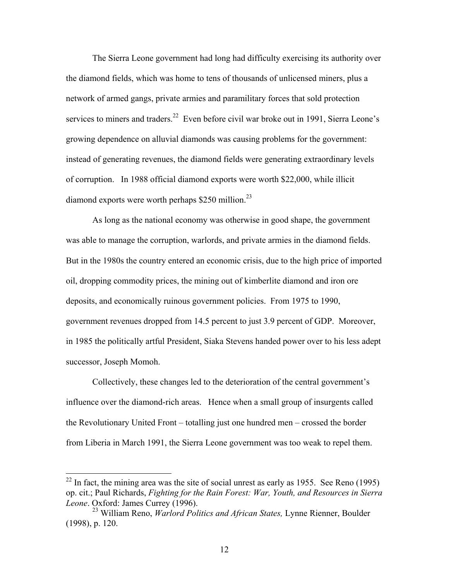The Sierra Leone government had long had difficulty exercising its authority over the diamond fields, which was home to tens of thousands of unlicensed miners, plus a network of armed gangs, private armies and paramilitary forces that sold protection services to miners and traders.<sup>22</sup> Even before civil war broke out in 1991, Sierra Leone's growing dependence on alluvial diamonds was causing problems for the government: instead of generating revenues, the diamond fields were generating extraordinary levels of corruption. In 1988 official diamond exports were worth \$22,000, while illicit diamond exports were worth perhaps  $$250$  million.<sup>[23](#page-11-1)</sup>

As long as the national economy was otherwise in good shape, the government was able to manage the corruption, warlords, and private armies in the diamond fields. But in the 1980s the country entered an economic crisis, due to the high price of imported oil, dropping commodity prices, the mining out of kimberlite diamond and iron ore deposits, and economically ruinous government policies. From 1975 to 1990, government revenues dropped from 14.5 percent to just 3.9 percent of GDP. Moreover, in 1985 the politically artful President, Siaka Stevens handed power over to his less adept successor, Joseph Momoh.

Collectively, these changes led to the deterioration of the central government's influence over the diamond-rich areas. Hence when a small group of insurgents called the Revolutionary United Front – totalling just one hundred men – crossed the border from Liberia in March 1991, the Sierra Leone government was too weak to repel them.

 $\overline{a}$ 

<span id="page-11-0"></span> $22$  In fact, the mining area was the site of social unrest as early as 1955. See Reno (1995) op. cit.; Paul Richards, *Fighting for the Rain Forest: War, Youth, and Resources in Sierra Leone*. Oxford: James Currey (1996).

<span id="page-11-1"></span><sup>23</sup> William Reno, *Warlord Politics and African States,* Lynne Rienner, Boulder (1998), p. 120.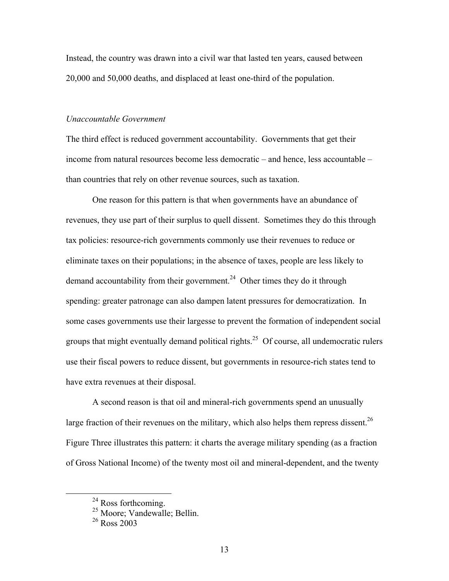Instead, the country was drawn into a civil war that lasted ten years, caused between 20,000 and 50,000 deaths, and displaced at least one-third of the population.

# *Unaccountable Government*

The third effect is reduced government accountability. Governments that get their income from natural resources become less democratic – and hence, less accountable – than countries that rely on other revenue sources, such as taxation.

One reason for this pattern is that when governments have an abundance of revenues, they use part of their surplus to quell dissent. Sometimes they do this through tax policies: resource-rich governments commonly use their revenues to reduce or eliminate taxes on their populations; in the absence of taxes, people are less likely to demand accountability from their government.<sup>24</sup> Other times they do it through spending: greater patronage can also dampen latent pressures for democratization. In some cases governments use their largesse to prevent the formation of independent social groups that might eventually demand political rights.<sup>25</sup> Of course, all undemocratic rulers use their fiscal powers to reduce dissent, but governments in resource-rich states tend to have extra revenues at their disposal.

A second reason is that oil and mineral-rich governments spend an unusually large fraction of their revenues on the military, which also helps them repress dissent.<sup>26</sup> Figure Three illustrates this pattern: it charts the average military spending (as a fraction of Gross National Income) of the twenty most oil and mineral-dependent, and the twenty

<span id="page-12-0"></span><sup>&</sup>lt;sup>24</sup> Ross forthcoming.

<span id="page-12-1"></span><sup>&</sup>lt;sup>25</sup> Moore; Vandewalle; Bellin.

<span id="page-12-2"></span> $26$  Ross  $2003$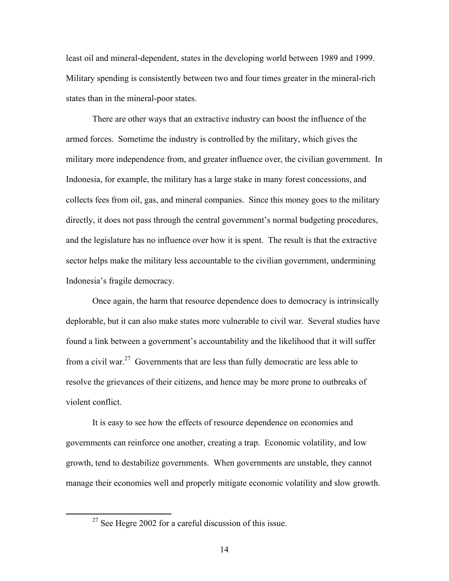least oil and mineral-dependent, states in the developing world between 1989 and 1999. Military spending is consistently between two and four times greater in the mineral-rich states than in the mineral-poor states.

There are other ways that an extractive industry can boost the influence of the armed forces. Sometime the industry is controlled by the military, which gives the military more independence from, and greater influence over, the civilian government. In Indonesia, for example, the military has a large stake in many forest concessions, and collects fees from oil, gas, and mineral companies. Since this money goes to the military directly, it does not pass through the central government's normal budgeting procedures, and the legislature has no influence over how it is spent. The result is that the extractive sector helps make the military less accountable to the civilian government, undermining Indonesia's fragile democracy.

Once again, the harm that resource dependence does to democracy is intrinsically deplorable, but it can also make states more vulnerable to civil war. Several studies have found a link between a government's accountability and the likelihood that it will suffer from a civil war.<sup>27</sup> Governments that are less than fully democratic are less able to resolve the grievances of their citizens, and hence may be more prone to outbreaks of violent conflict.

It is easy to see how the effects of resource dependence on economies and governments can reinforce one another, creating a trap. Economic volatility, and low growth, tend to destabilize governments. When governments are unstable, they cannot manage their economies well and properly mitigate economic volatility and slow growth.

<span id="page-13-0"></span> $27$  See Hegre 2002 for a careful discussion of this issue.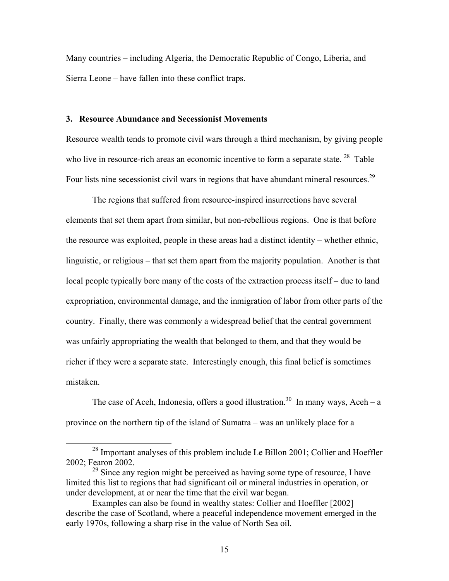Many countries – including Algeria, the Democratic Republic of Congo, Liberia, and Sierra Leone – have fallen into these conflict traps.

# **3. Resource Abundance and Secessionist Movements**

Resource wealth tends to promote civil wars through a third mechanism, by giving people who live in resource-rich areas an economic incentive to form a separate state.<sup>28</sup> Table Four lists nine secessionist civil wars in regions that have abundant mineral resources.<sup>29</sup>

The regions that suffered from resource-inspired insurrections have several elements that set them apart from similar, but non-rebellious regions. One is that before the resource was exploited, people in these areas had a distinct identity – whether ethnic, linguistic, or religious – that set them apart from the majority population. Another is that local people typically bore many of the costs of the extraction process itself – due to land expropriation, environmental damage, and the inmigration of labor from other parts of the country. Finally, there was commonly a widespread belief that the central government was unfairly appropriating the wealth that belonged to them, and that they would be richer if they were a separate state. Interestingly enough, this final belief is sometimes mistaken.

The case of Aceh, Indonesia, offers a good illustration.<sup>30</sup> In many ways, Aceh – a province on the northern tip of the island of Sumatra – was an unlikely place for a

<span id="page-14-0"></span><sup>&</sup>lt;sup>28</sup> Important analyses of this problem include Le Billon 2001; Collier and Hoeffler 2002; Fearon 2002.

<span id="page-14-1"></span> $^{29}$  Since any region might be perceived as having some type of resource, I have limited this list to regions that had significant oil or mineral industries in operation, or under development, at or near the time that the civil war began.

<span id="page-14-2"></span>Examples can also be found in wealthy states: Collier and Hoeffler [2002] describe the case of Scotland, where a peaceful independence movement emerged in the early 1970s, following a sharp rise in the value of North Sea oil.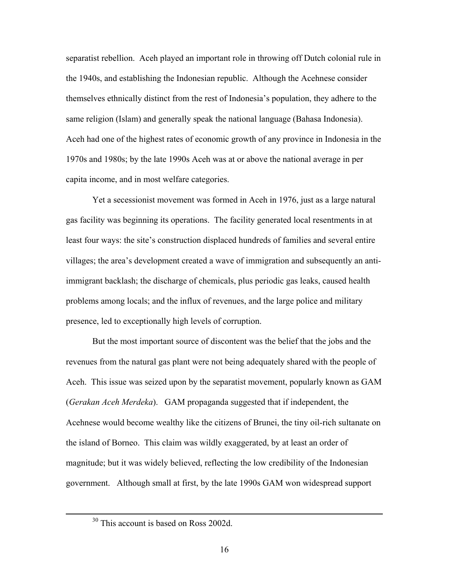separatist rebellion. Aceh played an important role in throwing off Dutch colonial rule in the 1940s, and establishing the Indonesian republic. Although the Acehnese consider themselves ethnically distinct from the rest of Indonesia's population, they adhere to the same religion (Islam) and generally speak the national language (Bahasa Indonesia). Aceh had one of the highest rates of economic growth of any province in Indonesia in the 1970s and 1980s; by the late 1990s Aceh was at or above the national average in per capita income, and in most welfare categories.

Yet a secessionist movement was formed in Aceh in 1976, just as a large natural gas facility was beginning its operations. The facility generated local resentments in at least four ways: the site's construction displaced hundreds of families and several entire villages; the area's development created a wave of immigration and subsequently an antiimmigrant backlash; the discharge of chemicals, plus periodic gas leaks, caused health problems among locals; and the influx of revenues, and the large police and military presence, led to exceptionally high levels of corruption.

But the most important source of discontent was the belief that the jobs and the revenues from the natural gas plant were not being adequately shared with the people of Aceh. This issue was seized upon by the separatist movement, popularly known as GAM (*Gerakan Aceh Merdeka*). GAM propaganda suggested that if independent, the Acehnese would become wealthy like the citizens of Brunei, the tiny oil-rich sultanate on the island of Borneo. This claim was wildly exaggerated, by at least an order of magnitude; but it was widely believed, reflecting the low credibility of the Indonesian government. Although small at first, by the late 1990s GAM won widespread support

<sup>&</sup>lt;sup>30</sup> This account is based on Ross 2002d.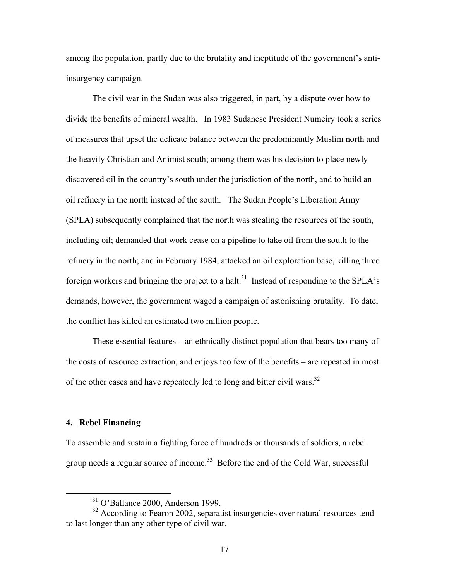among the population, partly due to the brutality and ineptitude of the government's antiinsurgency campaign.

The civil war in the Sudan was also triggered, in part, by a dispute over how to divide the benefits of mineral wealth. In 1983 Sudanese President Numeiry took a series of measures that upset the delicate balance between the predominantly Muslim north and the heavily Christian and Animist south; among them was his decision to place newly discovered oil in the country's south under the jurisdiction of the north, and to build an oil refinery in the north instead of the south. The Sudan People's Liberation Army (SPLA) subsequently complained that the north was stealing the resources of the south, including oil; demanded that work cease on a pipeline to take oil from the south to the refinery in the north; and in February 1984, attacked an oil exploration base, killing three foreign workers and bringing the project to a halt.<sup>31</sup> Instead of responding to the SPLA's demands, however, the government waged a campaign of astonishing brutality. To date, the conflict has killed an estimated two million people.

These essential features – an ethnically distinct population that bears too many of the costs of resource extraction, and enjoys too few of the benefits – are repeated in most of the other cases and have repeatedly led to long and bitter civil wars.<sup>32</sup>

# **4. Rebel Financing**

To assemble and sustain a fighting force of hundreds or thousands of soldiers, a rebel group needs a regular source of income.<sup>33</sup> Before the end of the Cold War, successful

<span id="page-16-1"></span><span id="page-16-0"></span> <sup>31</sup> O'Ballance 2000, Anderson 1999.

<sup>&</sup>lt;sup>32</sup> According to Fearon 2002, separatist insurgencies over natural resources tend to last longer than any other type of civil war.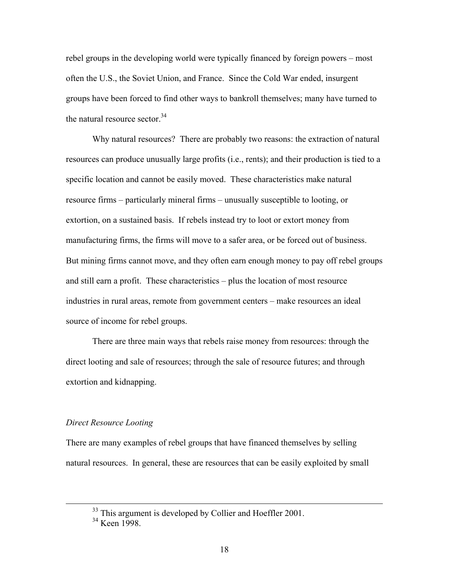rebel groups in the developing world were typically financed by foreign powers – most often the U.S., the Soviet Union, and France. Since the Cold War ended, insurgent groups have been forced to find other ways to bankroll themselves; many have turned to the natural resource sector. $34$ 

Why natural resources? There are probably two reasons: the extraction of natural resources can produce unusually large profits (i.e., rents); and their production is tied to a specific location and cannot be easily moved. These characteristics make natural resource firms – particularly mineral firms – unusually susceptible to looting, or extortion, on a sustained basis. If rebels instead try to loot or extort money from manufacturing firms, the firms will move to a safer area, or be forced out of business. But mining firms cannot move, and they often earn enough money to pay off rebel groups and still earn a profit. These characteristics – plus the location of most resource industries in rural areas, remote from government centers – make resources an ideal source of income for rebel groups.

There are three main ways that rebels raise money from resources: through the direct looting and sale of resources; through the sale of resource futures; and through extortion and kidnapping.

#### *Direct Resource Looting*

There are many examples of rebel groups that have financed themselves by selling natural resources. In general, these are resources that can be easily exploited by small

 $33$  This argument is developed by Collier and Hoeffler 2001.

<span id="page-17-0"></span><sup>&</sup>lt;sup>34</sup> Keen 1998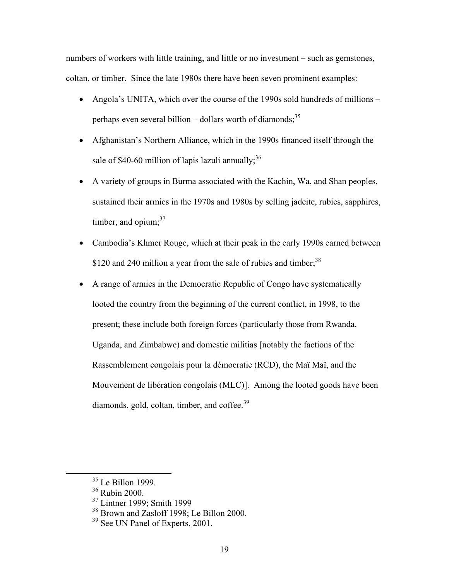numbers of workers with little training, and little or no investment – such as gemstones, coltan, or timber. Since the late 1980s there have been seven prominent examples:

- Angola's UNITA, which over the course of the 1990s sold hundreds of millions perhaps even several billion – dollars worth of diamonds;<sup>[35](#page-18-0)</sup>
- Afghanistan's Northern Alliance, which in the 1990s financed itself through the sale of \$40-60 million of lapis lazuli annually;<sup>[36](#page-18-1)</sup>
- A variety of groups in Burma associated with the Kachin, Wa, and Shan peoples, sustained their armies in the 1970s and 1980s by selling jadeite, rubies, sapphires, timber, and opium;<sup>[37](#page-18-2)</sup>
- Cambodia's Khmer Rouge, which at their peak in the early 1990s earned between \$120 and 240 million a year from the sale of rubies and timber;<sup>[38](#page-18-3)</sup>
- A range of armies in the Democratic Republic of Congo have systematically looted the country from the beginning of the current conflict, in 1998, to the present; these include both foreign forces (particularly those from Rwanda, Uganda, and Zimbabwe) and domestic militias [notably the factions of the Rassemblement congolais pour la démocratie (RCD), the Maï Maï, and the Mouvement de libération congolais (MLC)]. Among the looted goods have been diamonds, gold, coltan, timber, and coffee.<sup>[39](#page-18-4)</sup>

<span id="page-18-0"></span><sup>&</sup>lt;sup>35</sup> Le Billon 1999.

<span id="page-18-1"></span><sup>36</sup> Rubin 2000.

<span id="page-18-2"></span><sup>37</sup> Lintner 1999; Smith 1999

<span id="page-18-3"></span><sup>&</sup>lt;sup>38</sup> Brown and Zasloff 1998; Le Billon 2000.

<span id="page-18-4"></span><sup>&</sup>lt;sup>39</sup> See UN Panel of Experts, 2001.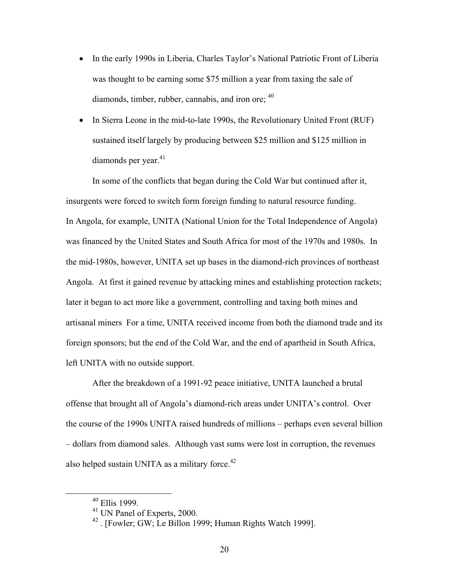- In the early 1990s in Liberia, Charles Taylor's National Patriotic Front of Liberia was thought to be earning some \$75 million a year from taxing the sale of diamonds, timber, rubber, cannabis, and iron ore;  $40$
- In Sierra Leone in the mid-to-late 1990s, the Revolutionary United Front (RUF) sustained itself largely by producing between \$25 million and \$125 million in diamonds per year. $41$

In some of the conflicts that began during the Cold War but continued after it, insurgents were forced to switch form foreign funding to natural resource funding. In Angola, for example, UNITA (National Union for the Total Independence of Angola) was financed by the United States and South Africa for most of the 1970s and 1980s. In the mid-1980s, however, UNITA set up bases in the diamond-rich provinces of northeast Angola. At first it gained revenue by attacking mines and establishing protection rackets; later it began to act more like a government, controlling and taxing both mines and artisanal miners For a time, UNITA received income from both the diamond trade and its foreign sponsors; but the end of the Cold War, and the end of apartheid in South Africa, left UNITA with no outside support.

After the breakdown of a 1991-92 peace initiative, UNITA launched a brutal offense that brought all of Angola's diamond-rich areas under UNITA's control. Over the course of the 1990s UNITA raised hundreds of millions – perhaps even several billion – dollars from diamond sales. Although vast sums were lost in corruption, the revenues also helped sustain UNITA as a military force. $42$ 

<span id="page-19-0"></span> <sup>40</sup> Ellis 1999.

<span id="page-19-1"></span><sup>41</sup> UN Panel of Experts, 2000.

<span id="page-19-2"></span><sup>42 . [</sup>Fowler; GW; Le Billon 1999; Human Rights Watch 1999].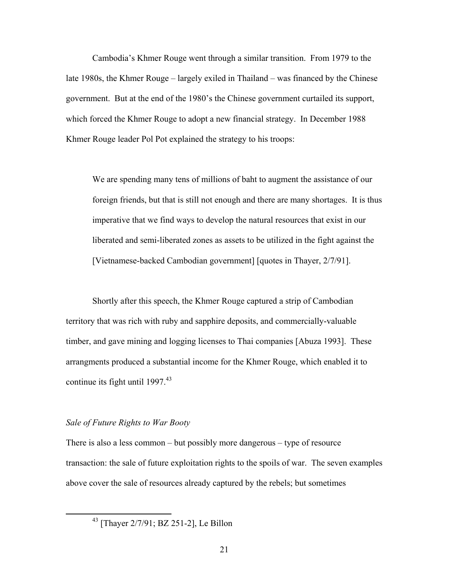Cambodia's Khmer Rouge went through a similar transition. From 1979 to the late 1980s, the Khmer Rouge – largely exiled in Thailand – was financed by the Chinese government. But at the end of the 1980's the Chinese government curtailed its support, which forced the Khmer Rouge to adopt a new financial strategy. In December 1988 Khmer Rouge leader Pol Pot explained the strategy to his troops:

We are spending many tens of millions of baht to augment the assistance of our foreign friends, but that is still not enough and there are many shortages. It is thus imperative that we find ways to develop the natural resources that exist in our liberated and semi-liberated zones as assets to be utilized in the fight against the [Vietnamese-backed Cambodian government] [quotes in Thayer, 2/7/91].

Shortly after this speech, the Khmer Rouge captured a strip of Cambodian territory that was rich with ruby and sapphire deposits, and commercially-valuable timber, and gave mining and logging licenses to Thai companies [Abuza 1993]. These arrangments produced a substantial income for the Khmer Rouge, which enabled it to continue its fight until  $1997<sup>43</sup>$  $1997<sup>43</sup>$  $1997<sup>43</sup>$ 

#### *Sale of Future Rights to War Booty*

There is also a less common – but possibly more dangerous – type of resource transaction: the sale of future exploitation rights to the spoils of war. The seven examples above cover the sale of resources already captured by the rebels; but sometimes

<span id="page-20-0"></span> <sup>43 [</sup>Thayer 2/7/91; BZ 251-2], Le Billon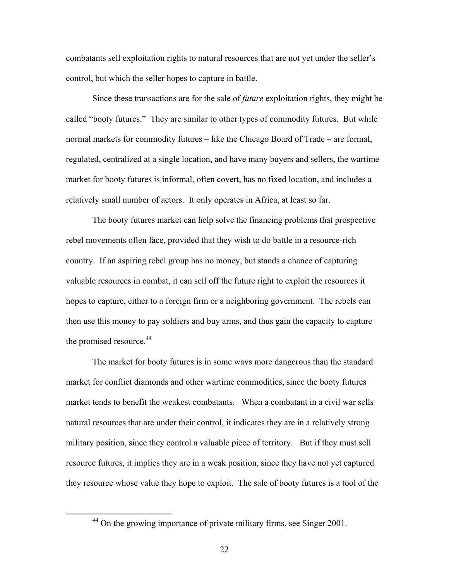combatants sell exploitation rights to natural resources that are not yet under the seller's control, but which the seller hopes to capture in battle.

Since these transactions are for the sale of *future* exploitation rights, they might be called "booty futures." They are similar to other types of commodity futures. But while normal markets for commodity futures – like the Chicago Board of Trade – are formal, regulated, centralized at a single location, and have many buyers and sellers, the wartime market for booty futures is informal, often covert, has no fixed location, and includes a relatively small number of actors. It only operates in Africa, at least so far.

The booty futures market can help solve the financing problems that prospective rebel movements often face, provided that they wish to do battle in a resource-rich country. If an aspiring rebel group has no money, but stands a chance of capturing valuable resources in combat, it can sell off the future right to exploit the resources it hopes to capture, either to a foreign firm or a neighboring government. The rebels can then use this money to pay soldiers and buy arms, and thus gain the capacity to capture the promised resource.<sup>44</sup>

The market for booty futures is in some ways more dangerous than the standard market for conflict diamonds and other wartime commodities, since the booty futures market tends to benefit the weakest combatants. When a combatant in a civil war sells natural resources that are under their control, it indicates they are in a relatively strong military position, since they control a valuable piece of territory. But if they must sell resource futures, it implies they are in a weak position, since they have not yet captured they resource whose value they hope to exploit. The sale of booty futures is a tool of the

<span id="page-21-0"></span> $44$  On the growing importance of private military firms, see Singer 2001.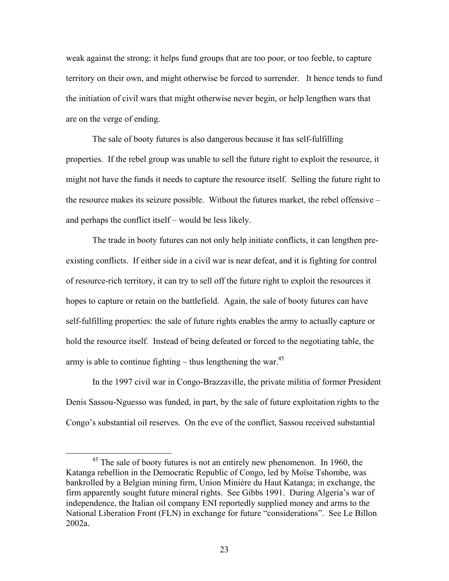weak against the strong: it helps fund groups that are too poor, or too feeble, to capture territory on their own, and might otherwise be forced to surrender. It hence tends to fund the initiation of civil wars that might otherwise never begin, or help lengthen wars that are on the verge of ending.

The sale of booty futures is also dangerous because it has self-fulfilling properties. If the rebel group was unable to sell the future right to exploit the resource, it might not have the funds it needs to capture the resource itself. Selling the future right to the resource makes its seizure possible. Without the futures market, the rebel offensive – and perhaps the conflict itself – would be less likely.

The trade in booty futures can not only help initiate conflicts, it can lengthen preexisting conflicts. If either side in a civil war is near defeat, and it is fighting for control of resource-rich territory, it can try to sell off the future right to exploit the resources it hopes to capture or retain on the battlefield. Again, the sale of booty futures can have self-fulfilling properties: the sale of future rights enables the army to actually capture or hold the resource itself. Instead of being defeated or forced to the negotiating table, the army is able to continue fighting – thus lengthening the war. $45$ 

 In the 1997 civil war in Congo-Brazzaville, the private militia of former President Denis Sassou-Nguesso was funded, in part, by the sale of future exploitation rights to the Congo's substantial oil reserves. On the eve of the conflict, Sassou received substantial

<span id="page-22-0"></span><sup>&</sup>lt;sup>45</sup> The sale of booty futures is not an entirely new phenomenon. In 1960, the Katanga rebellion in the Democratic Republic of Congo, led by Moïse Tshombe, was bankrolled by a Belgian mining firm, Union Minière du Haut Katanga; in exchange, the firm apparently sought future mineral rights. See Gibbs 1991. During Algeria's war of independence, the Italian oil company ENI reportedly supplied money and arms to the National Liberation Front (FLN) in exchange for future "considerations". See Le Billon 2002a.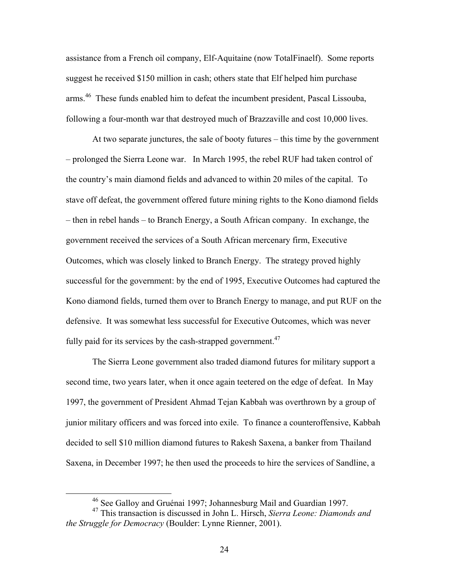assistance from a French oil company, Elf-Aquitaine (now TotalFinaelf). Some reports suggest he received \$150 million in cash; others state that Elf helped him purchase arms.<sup>46</sup> These funds enabled him to defeat the incumbent president, Pascal Lissouba, following a four-month war that destroyed much of Brazzaville and cost 10,000 lives.

At two separate junctures, the sale of booty futures – this time by the government – prolonged the Sierra Leone war. In March 1995, the rebel RUF had taken control of the country's main diamond fields and advanced to within 20 miles of the capital. To stave off defeat, the government offered future mining rights to the Kono diamond fields – then in rebel hands – to Branch Energy, a South African company. In exchange, the government received the services of a South African mercenary firm, Executive Outcomes, which was closely linked to Branch Energy. The strategy proved highly successful for the government: by the end of 1995, Executive Outcomes had captured the Kono diamond fields, turned them over to Branch Energy to manage, and put RUF on the defensive. It was somewhat less successful for Executive Outcomes, which was never fully paid for its services by the cash-strapped government. $47$ 

The Sierra Leone government also traded diamond futures for military support a second time, two years later, when it once again teetered on the edge of defeat. In May 1997, the government of President Ahmad Tejan Kabbah was overthrown by a group of junior military officers and was forced into exile. To finance a counteroffensive, Kabbah decided to sell \$10 million diamond futures to Rakesh Saxena, a banker from Thailand Saxena, in December 1997; he then used the proceeds to hire the services of Sandline, a

<span id="page-23-1"></span><span id="page-23-0"></span> <sup>46</sup> See Galloy and Gruénai 1997; Johannesburg Mail and Guardian 1997.

<sup>47</sup> This transaction is discussed in John L. Hirsch, *Sierra Leone: Diamonds and the Struggle for Democracy* (Boulder: Lynne Rienner, 2001).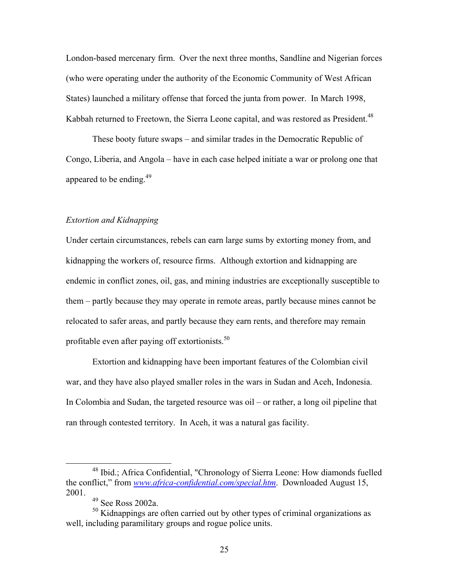London-based mercenary firm. Over the next three months, Sandline and Nigerian forces (who were operating under the authority of the Economic Community of West African States) launched a military offense that forced the junta from power. In March 1998, Kabbah returned to Freetown, the Sierra Leone capital, and was restored as President.<sup>[48](#page-24-0)</sup>

These booty future swaps – and similar trades in the Democratic Republic of Congo, Liberia, and Angola – have in each case helped initiate a war or prolong one that appeared to be ending.<sup>[49](#page-24-1)</sup>

# *Extortion and Kidnapping*

Under certain circumstances, rebels can earn large sums by extorting money from, and kidnapping the workers of, resource firms. Although extortion and kidnapping are endemic in conflict zones, oil, gas, and mining industries are exceptionally susceptible to them – partly because they may operate in remote areas, partly because mines cannot be relocated to safer areas, and partly because they earn rents, and therefore may remain profitable even after paying off extortionists.<sup>50</sup>

Extortion and kidnapping have been important features of the Colombian civil war, and they have also played smaller roles in the wars in Sudan and Aceh, Indonesia. In Colombia and Sudan, the targeted resource was oil – or rather, a long oil pipeline that ran through contested territory. In Aceh, it was a natural gas facility.

 <sup>48</sup> Ibid.; Africa Confidential, "Chronology of Sierra Leone: How diamonds fuelled the conflict," from *[www.africa-confidential.com/special.htm](http://www.africa-confidential.com/special.htm)*. Downloaded August 15, 2001.

<span id="page-24-2"></span><span id="page-24-1"></span><span id="page-24-0"></span><sup>49</sup> See Ross 2002a.

<sup>&</sup>lt;sup>50</sup> Kidnappings are often carried out by other types of criminal organizations as well, including paramilitary groups and rogue police units.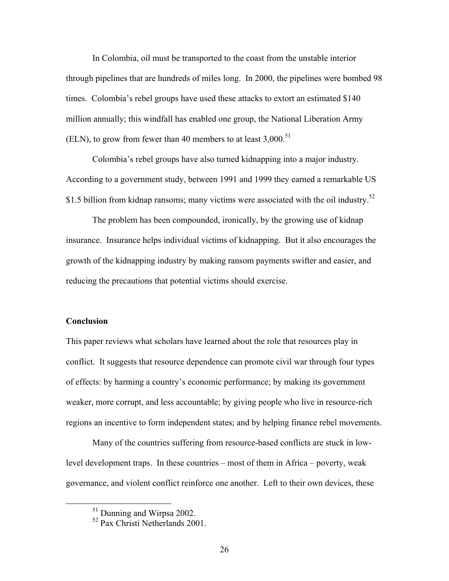In Colombia, oil must be transported to the coast from the unstable interior through pipelines that are hundreds of miles long. In 2000, the pipelines were bombed 98 times. Colombia's rebel groups have used these attacks to extort an estimated \$140 million annually; this windfall has enabled one group, the National Liberation Army (ELN), to grow from fewer than 40 members to at least  $3.000$ .<sup>[51](#page-25-0)</sup>

Colombia's rebel groups have also turned kidnapping into a major industry. According to a government study, between 1991 and 1999 they earned a remarkable US \$1.5 billion from kidnap ransoms; many victims were associated with the oil industry. $52$ 

The problem has been compounded, ironically, by the growing use of kidnap insurance. Insurance helps individual victims of kidnapping. But it also encourages the growth of the kidnapping industry by making ransom payments swifter and easier, and reducing the precautions that potential victims should exercise.

#### **Conclusion**

This paper reviews what scholars have learned about the role that resources play in conflict. It suggests that resource dependence can promote civil war through four types of effects: by harming a country's economic performance; by making its government weaker, more corrupt, and less accountable; by giving people who live in resource-rich regions an incentive to form independent states; and by helping finance rebel movements.

Many of the countries suffering from resource-based conflicts are stuck in lowlevel development traps. In these countries – most of them in Africa – poverty, weak governance, and violent conflict reinforce one another. Left to their own devices, these

<span id="page-25-0"></span><sup>&</sup>lt;sup>51</sup> Dunning and Wirpsa 2002.

<span id="page-25-1"></span><sup>52</sup> Pax Christi Netherlands 2001.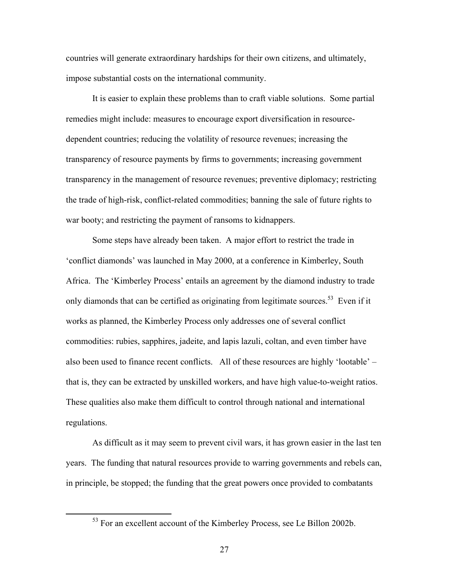countries will generate extraordinary hardships for their own citizens, and ultimately, impose substantial costs on the international community.

It is easier to explain these problems than to craft viable solutions. Some partial remedies might include: measures to encourage export diversification in resourcedependent countries; reducing the volatility of resource revenues; increasing the transparency of resource payments by firms to governments; increasing government transparency in the management of resource revenues; preventive diplomacy; restricting the trade of high-risk, conflict-related commodities; banning the sale of future rights to war booty; and restricting the payment of ransoms to kidnappers.

Some steps have already been taken. A major effort to restrict the trade in 'conflict diamonds' was launched in May 2000, at a conference in Kimberley, South Africa. The 'Kimberley Process' entails an agreement by the diamond industry to trade only diamonds that can be certified as originating from legitimate sources.<sup>53</sup> Even if it works as planned, the Kimberley Process only addresses one of several conflict commodities: rubies, sapphires, jadeite, and lapis lazuli, coltan, and even timber have also been used to finance recent conflicts. All of these resources are highly 'lootable' – that is, they can be extracted by unskilled workers, and have high value-to-weight ratios. These qualities also make them difficult to control through national and international regulations.

As difficult as it may seem to prevent civil wars, it has grown easier in the last ten years. The funding that natural resources provide to warring governments and rebels can, in principle, be stopped; the funding that the great powers once provided to combatants

<span id="page-26-0"></span> $53$  For an excellent account of the Kimberley Process, see Le Billon 2002b.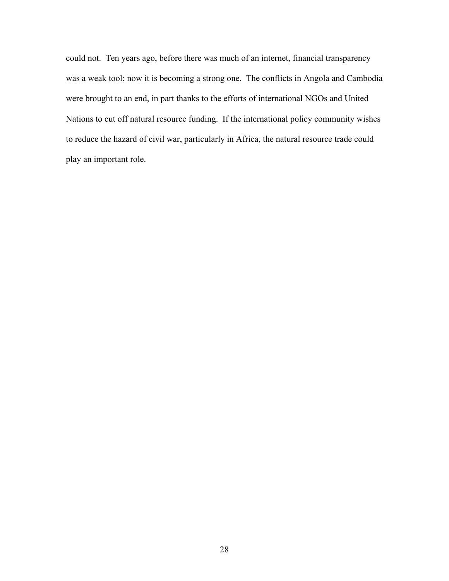could not. Ten years ago, before there was much of an internet, financial transparency was a weak tool; now it is becoming a strong one. The conflicts in Angola and Cambodia were brought to an end, in part thanks to the efforts of international NGOs and United Nations to cut off natural resource funding. If the international policy community wishes to reduce the hazard of civil war, particularly in Africa, the natural resource trade could play an important role.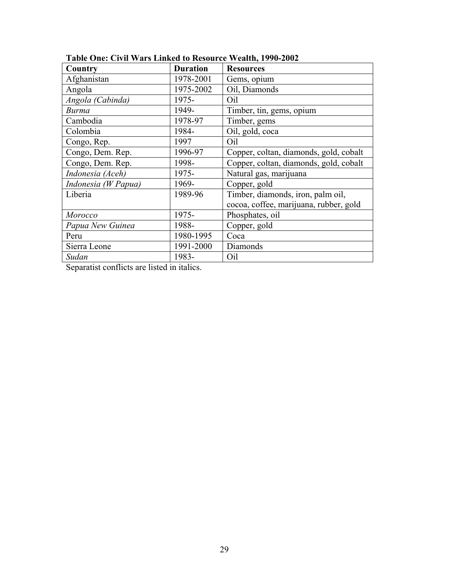| Country             | <b>Duration</b> | <b>Resources</b>                       |  |
|---------------------|-----------------|----------------------------------------|--|
| Afghanistan         | 1978-2001       | Gems, opium                            |  |
| Angola              | 1975-2002       | Oil, Diamonds                          |  |
| Angola (Cabinda)    | 1975-           | Oil                                    |  |
| <b>Burma</b>        | 1949-           | Timber, tin, gems, opium               |  |
| Cambodia            | 1978-97         | Timber, gems                           |  |
| Colombia            | 1984-           | Oil, gold, coca                        |  |
| Congo, Rep.         | 1997            | Oil                                    |  |
| Congo, Dem. Rep.    | 1996-97         | Copper, coltan, diamonds, gold, cobalt |  |
| Congo, Dem. Rep.    | 1998-           | Copper, coltan, diamonds, gold, cobalt |  |
| Indonesia (Aceh)    | 1975-           | Natural gas, marijuana                 |  |
| Indonesia (W Papua) | 1969-           | Copper, gold                           |  |
| Liberia             | 1989-96         | Timber, diamonds, iron, palm oil,      |  |
|                     |                 | cocoa, coffee, marijuana, rubber, gold |  |
| Morocco             | 1975-           | Phosphates, oil                        |  |
| Papua New Guinea    | 1988-           | Copper, gold                           |  |
| Peru                | 1980-1995       | Coca                                   |  |
| Sierra Leone        | 1991-2000       | Diamonds                               |  |
| Sudan               | 1983-           | Oil                                    |  |

# **Table One: Civil Wars Linked to Resource Wealth, 1990-2002**

Separatist conflicts are listed in italics.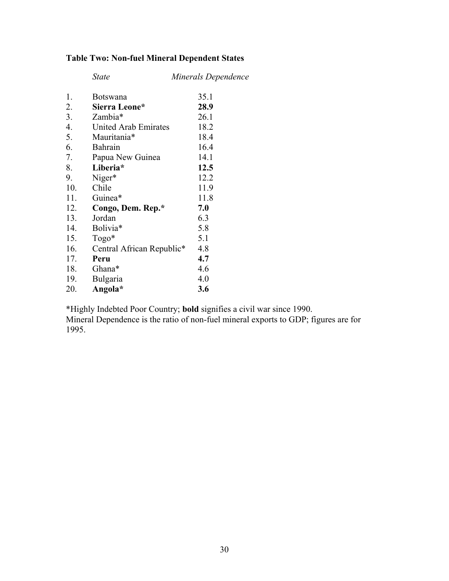# **Table Two: Non-fuel Mineral Dependent States**

|     | <b>State</b>              | Minerals Dependence |
|-----|---------------------------|---------------------|
| 1.  | <b>Botswana</b>           | 35.1                |
| 2.  | Sierra Leone*             | 28.9                |
| 3.  | Zambia*                   | 26.1                |
| 4.  | United Arab Emirates      | 18.2                |
| 5.  | Mauritania*               | 18.4                |
| 6.  | Bahrain                   | 16.4                |
| 7.  | Papua New Guinea          | 14.1                |
| 8.  | Liberia*                  | 12.5                |
| 9.  | Niger*                    | 12.2                |
| 10. | Chile                     | 11.9                |
| 11. | Guinea*                   | 11.8                |
| 12. | Congo, Dem. Rep.*         | 7.0                 |
| 13. | Jordan                    | 6.3                 |
| 14. | Bolivia*                  | 5.8                 |
| 15. | $Togo*$                   | 5.1                 |
| 16. | Central African Republic* | 4.8                 |
| 17. | Peru                      | 4.7                 |
| 18. | Ghana*                    | 4.6                 |
| 19. | Bulgaria                  | 4.0                 |
| 20. | Angola*                   | 3.6                 |

\*Highly Indebted Poor Country; **bold** signifies a civil war since 1990.

Mineral Dependence is the ratio of non-fuel mineral exports to GDP; figures are for 1995.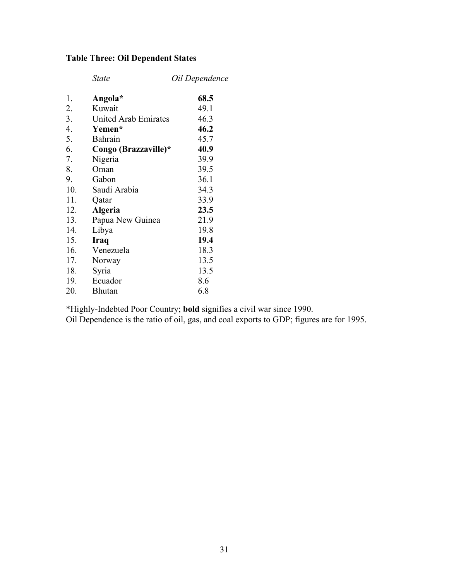# **Table Three: Oil Dependent States**

|     | <i>State</i>         | Oil Dependence |
|-----|----------------------|----------------|
| 1.  | Angola*              | 68.5           |
| 2.  | Kuwait               | 49.1           |
| 3.  | United Arab Emirates | 46.3           |
| 4.  | Yemen*               | 46.2           |
| 5.  | <b>Bahrain</b>       | 45.7           |
| 6.  | Congo (Brazzaville)* | 40.9           |
| 7.  | Nigeria              | 39.9           |
| 8.  | Oman                 | 39.5           |
| 9.  | Gabon                | 36.1           |
| 10. | Saudi Arabia         | 34.3           |
| 11. | Qatar                | 33.9           |
| 12. | <b>Algeria</b>       | 23.5           |
| 13. | Papua New Guinea     | 21.9           |
| 14. | Libya                | 19.8           |
| 15. | <b>Iraq</b>          | 19.4           |
| 16. | Venezuela            | 18.3           |
| 17. | Norway               | 13.5           |
| 18. | Syria                | 13.5           |
| 19. | Ecuador              | 8.6            |
| 20. | <b>Bhutan</b>        | 6.8            |

\*Highly-Indebted Poor Country; **bold** signifies a civil war since 1990.

Oil Dependence is the ratio of oil, gas, and coal exports to GDP; figures are for 1995.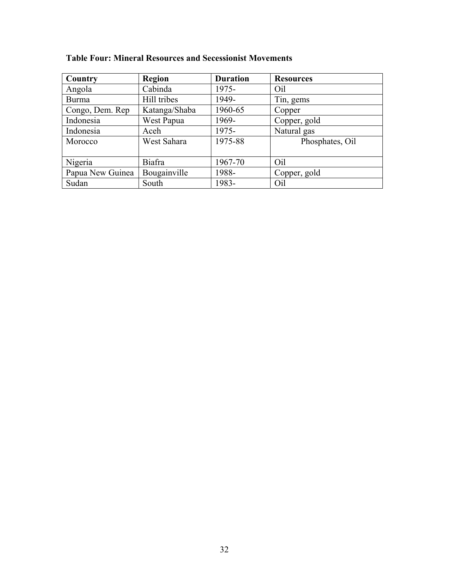| Country          | <b>Region</b> | <b>Duration</b> | <b>Resources</b> |
|------------------|---------------|-----------------|------------------|
| Angola           | Cabinda       | 1975-           | Oil              |
| <b>Burma</b>     | Hill tribes   | 1949-           | Tin, gems        |
| Congo, Dem. Rep. | Katanga/Shaba | 1960-65         | Copper           |
| Indonesia        | West Papua    | 1969-           | Copper, gold     |
| Indonesia        | Aceh          | 1975-           | Natural gas      |
| Morocco          | West Sahara   | 1975-88         | Phosphates, Oil  |
|                  |               |                 |                  |
| Nigeria          | <b>Biafra</b> | 1967-70         | Oil              |
| Papua New Guinea | Bougainville  | 1988-           | Copper, gold     |
| Sudan            | South         | 1983-           | Oil              |

# **Table Four: Mineral Resources and Secessionist Movements**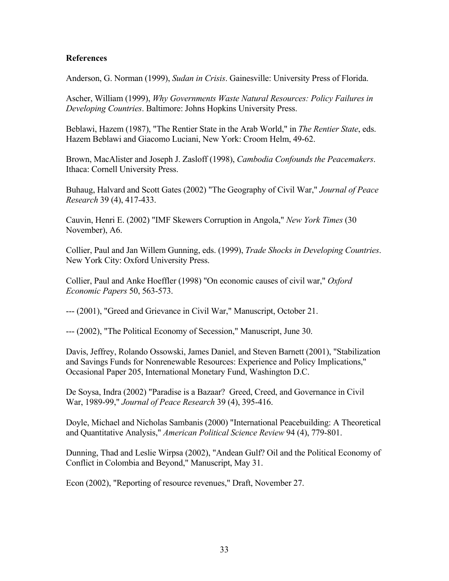# **References**

Anderson, G. Norman (1999), *Sudan in Crisis*. Gainesville: University Press of Florida.

Ascher, William (1999), *Why Governments Waste Natural Resources: Policy Failures in Developing Countries*. Baltimore: Johns Hopkins University Press.

Beblawi, Hazem (1987), "The Rentier State in the Arab World," in *The Rentier State*, eds. Hazem Beblawi and Giacomo Luciani, New York: Croom Helm, 49-62.

Brown, MacAlister and Joseph J. Zasloff (1998), *Cambodia Confounds the Peacemakers*. Ithaca: Cornell University Press.

Buhaug, Halvard and Scott Gates (2002) "The Geography of Civil War," *Journal of Peace Research* 39 (4), 417-433.

Cauvin, Henri E. (2002) "IMF Skewers Corruption in Angola," *New York Times* (30 November), A6.

Collier, Paul and Jan Willem Gunning, eds. (1999), *Trade Shocks in Developing Countries*. New York City: Oxford University Press.

Collier, Paul and Anke Hoeffler (1998) "On economic causes of civil war," *Oxford Economic Papers* 50, 563-573.

--- (2001), "Greed and Grievance in Civil War," Manuscript, October 21.

--- (2002), "The Political Economy of Secession," Manuscript, June 30.

Davis, Jeffrey, Rolando Ossowski, James Daniel, and Steven Barnett (2001), "Stabilization and Savings Funds for Nonrenewable Resources: Experience and Policy Implications," Occasional Paper 205, International Monetary Fund, Washington D.C.

De Soysa, Indra (2002) "Paradise is a Bazaar? Greed, Creed, and Governance in Civil War, 1989-99," *Journal of Peace Research* 39 (4), 395-416.

Doyle, Michael and Nicholas Sambanis (2000) "International Peacebuilding: A Theoretical and Quantitative Analysis," *American Political Science Review* 94 (4), 779-801.

Dunning, Thad and Leslie Wirpsa (2002), "Andean Gulf? Oil and the Political Economy of Conflict in Colombia and Beyond," Manuscript, May 31.

Econ (2002), "Reporting of resource revenues," Draft, November 27.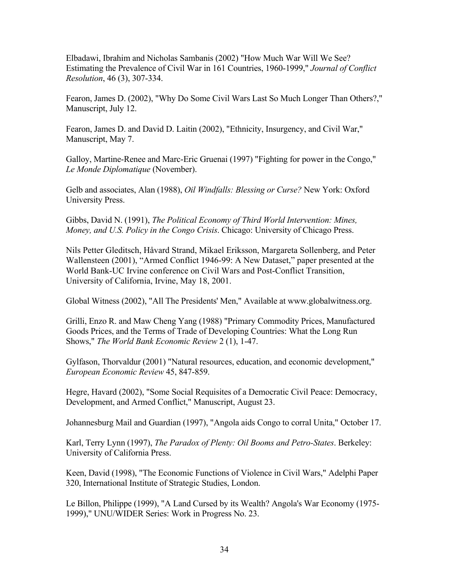Elbadawi, Ibrahim and Nicholas Sambanis (2002) "How Much War Will We See? Estimating the Prevalence of Civil War in 161 Countries, 1960-1999," *Journal of Conflict Resolution*, 46 (3), 307-334.

Fearon, James D. (2002), "Why Do Some Civil Wars Last So Much Longer Than Others?," Manuscript, July 12.

Fearon, James D. and David D. Laitin (2002), "Ethnicity, Insurgency, and Civil War," Manuscript, May 7.

Galloy, Martine-Renee and Marc-Eric Gruenai (1997) "Fighting for power in the Congo," *Le Monde Diplomatique* (November).

Gelb and associates, Alan (1988), *Oil Windfalls: Blessing or Curse?* New York: Oxford University Press.

Gibbs, David N. (1991), *The Political Economy of Third World Intervention: Mines, Money, and U.S. Policy in the Congo Crisis*. Chicago: University of Chicago Press.

Nils Petter Gleditsch, Håvard Strand, Mikael Eriksson, Margareta Sollenberg, and Peter Wallensteen (2001), "Armed Conflict 1946-99: A New Dataset," paper presented at the World Bank-UC Irvine conference on Civil Wars and Post-Conflict Transition, University of California, Irvine, May 18, 2001.

Global Witness (2002), "All The Presidents' Men," Available at www.globalwitness.org.

Grilli, Enzo R. and Maw Cheng Yang (1988) "Primary Commodity Prices, Manufactured Goods Prices, and the Terms of Trade of Developing Countries: What the Long Run Shows," *The World Bank Economic Review* 2 (1), 1-47.

Gylfason, Thorvaldur (2001) "Natural resources, education, and economic development," *European Economic Review* 45, 847-859.

Hegre, Havard (2002), "Some Social Requisites of a Democratic Civil Peace: Democracy, Development, and Armed Conflict," Manuscript, August 23.

Johannesburg Mail and Guardian (1997), "Angola aids Congo to corral Unita," October 17.

Karl, Terry Lynn (1997), *The Paradox of Plenty: Oil Booms and Petro-States*. Berkeley: University of California Press.

Keen, David (1998), "The Economic Functions of Violence in Civil Wars," Adelphi Paper 320, International Institute of Strategic Studies, London.

Le Billon, Philippe (1999), "A Land Cursed by its Wealth? Angola's War Economy (1975- 1999)," UNU/WIDER Series: Work in Progress No. 23.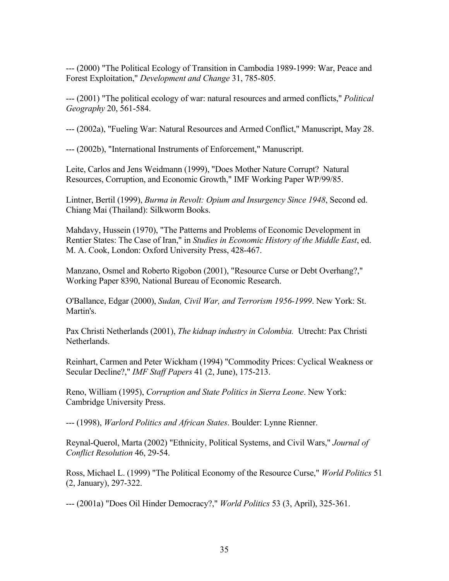--- (2000) "The Political Ecology of Transition in Cambodia 1989-1999: War, Peace and Forest Exploitation," *Development and Change* 31, 785-805.

--- (2001) "The political ecology of war: natural resources and armed conflicts," *Political Geography* 20, 561-584.

--- (2002a), "Fueling War: Natural Resources and Armed Conflict," Manuscript, May 28.

--- (2002b), "International Instruments of Enforcement," Manuscript.

Leite, Carlos and Jens Weidmann (1999), "Does Mother Nature Corrupt? Natural Resources, Corruption, and Economic Growth," IMF Working Paper WP/99/85.

Lintner, Bertil (1999), *Burma in Revolt: Opium and Insurgency Since 1948*, Second ed. Chiang Mai (Thailand): Silkworm Books.

Mahdavy, Hussein (1970), "The Patterns and Problems of Economic Development in Rentier States: The Case of Iran," in *Studies in Economic History of the Middle East*, ed. M. A. Cook, London: Oxford University Press, 428-467.

Manzano, Osmel and Roberto Rigobon (2001), "Resource Curse or Debt Overhang?," Working Paper 8390, National Bureau of Economic Research.

O'Ballance, Edgar (2000), *Sudan, Civil War, and Terrorism 1956-1999*. New York: St. Martin's.

Pax Christi Netherlands (2001), *The kidnap industry in Colombia.* Utrecht: Pax Christi **Netherlands** 

Reinhart, Carmen and Peter Wickham (1994) "Commodity Prices: Cyclical Weakness or Secular Decline?," *IMF Staff Papers* 41 (2, June), 175-213.

Reno, William (1995), *Corruption and State Politics in Sierra Leone*. New York: Cambridge University Press.

--- (1998), *Warlord Politics and African States*. Boulder: Lynne Rienner.

Reynal-Querol, Marta (2002) "Ethnicity, Political Systems, and Civil Wars," *Journal of Conflict Resolution* 46, 29-54.

Ross, Michael L. (1999) "The Political Economy of the Resource Curse," *World Politics* 51 (2, January), 297-322.

--- (2001a) "Does Oil Hinder Democracy?," *World Politics* 53 (3, April), 325-361.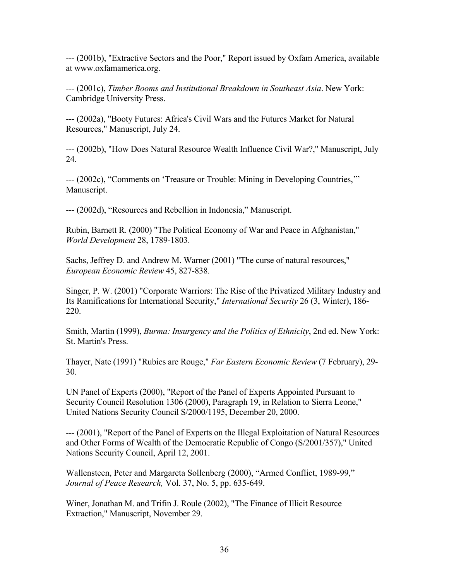--- (2001b), "Extractive Sectors and the Poor," Report issued by Oxfam America, available at www.oxfamamerica.org.

--- (2001c), *Timber Booms and Institutional Breakdown in Southeast Asia*. New York: Cambridge University Press.

--- (2002a), "Booty Futures: Africa's Civil Wars and the Futures Market for Natural Resources," Manuscript, July 24.

--- (2002b), "How Does Natural Resource Wealth Influence Civil War?," Manuscript, July 24.

--- (2002c), "Comments on 'Treasure or Trouble: Mining in Developing Countries,'" Manuscript.

--- (2002d), "Resources and Rebellion in Indonesia," Manuscript.

Rubin, Barnett R. (2000) "The Political Economy of War and Peace in Afghanistan," *World Development* 28, 1789-1803.

Sachs, Jeffrey D. and Andrew M. Warner (2001) "The curse of natural resources," *European Economic Review* 45, 827-838.

Singer, P. W. (2001) "Corporate Warriors: The Rise of the Privatized Military Industry and Its Ramifications for International Security," *International Security* 26 (3, Winter), 186- 220.

Smith, Martin (1999), *Burma: Insurgency and the Politics of Ethnicity*, 2nd ed. New York: St. Martin's Press.

Thayer, Nate (1991) "Rubies are Rouge," *Far Eastern Economic Review* (7 February), 29- 30.

UN Panel of Experts (2000), "Report of the Panel of Experts Appointed Pursuant to Security Council Resolution 1306 (2000), Paragraph 19, in Relation to Sierra Leone," United Nations Security Council S/2000/1195, December 20, 2000.

--- (2001), "Report of the Panel of Experts on the Illegal Exploitation of Natural Resources and Other Forms of Wealth of the Democratic Republic of Congo (S/2001/357)," United Nations Security Council, April 12, 2001.

Wallensteen, Peter and Margareta Sollenberg (2000), "Armed Conflict, 1989-99," *Journal of Peace Research,* Vol. 37, No. 5, pp. 635-649.

Winer, Jonathan M. and Trifin J. Roule (2002), "The Finance of Illicit Resource Extraction," Manuscript, November 29.